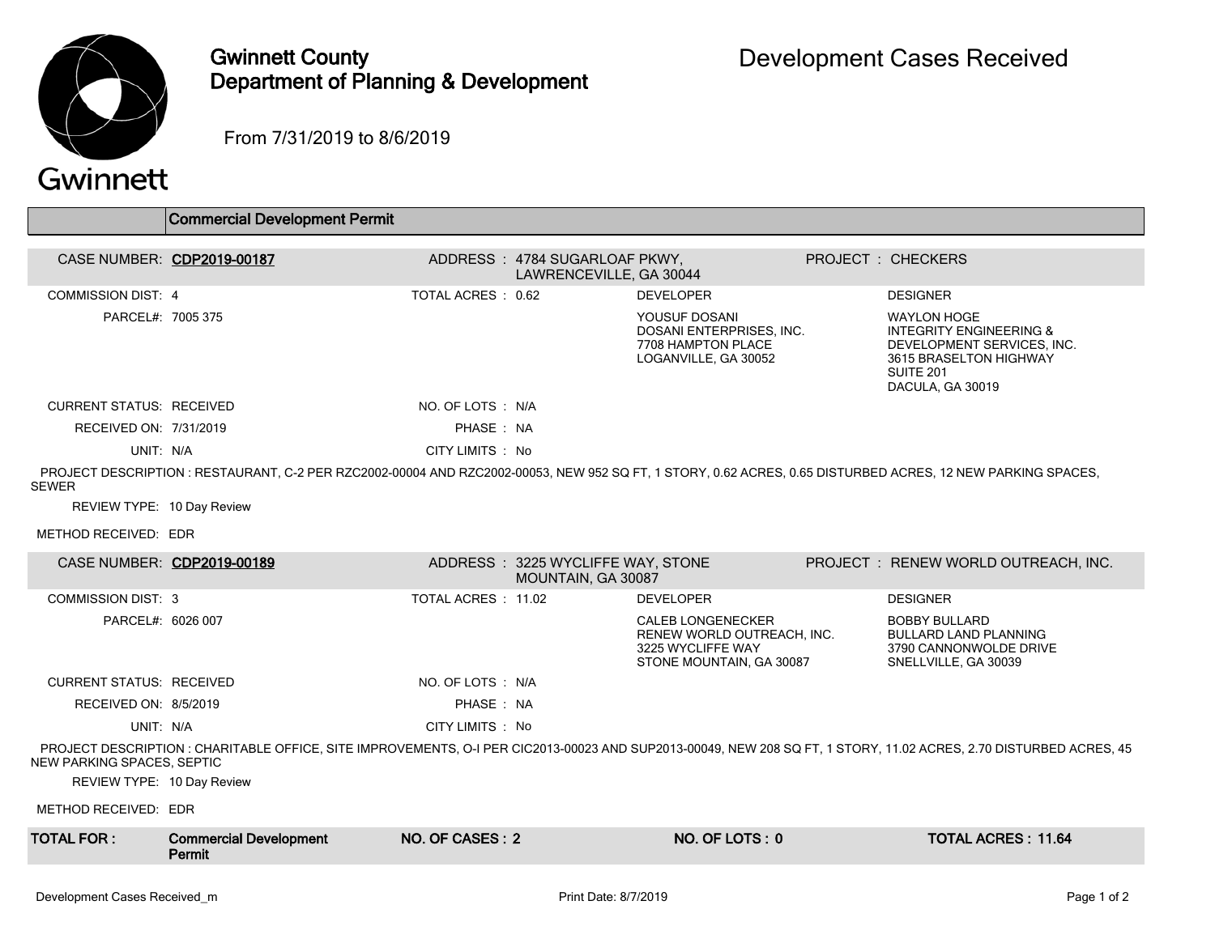

## Gwinnett County Department of Planning & Development

From 7/31/2019 to 8/6/2019

## Gwinnett

|                                 | Commercial Development Permit                                                                                                                              |                     |                                                          |                                                                                                         |                                                                                                                                                                   |
|---------------------------------|------------------------------------------------------------------------------------------------------------------------------------------------------------|---------------------|----------------------------------------------------------|---------------------------------------------------------------------------------------------------------|-------------------------------------------------------------------------------------------------------------------------------------------------------------------|
|                                 |                                                                                                                                                            |                     |                                                          |                                                                                                         |                                                                                                                                                                   |
| CASE NUMBER: CDP2019-00187      |                                                                                                                                                            |                     | ADDRESS: 4784 SUGARLOAF PKWY,<br>LAWRENCEVILLE, GA 30044 |                                                                                                         | <b>PROJECT: CHECKERS</b>                                                                                                                                          |
| <b>COMMISSION DIST: 4</b>       |                                                                                                                                                            | TOTAL ACRES: 0.62   |                                                          | <b>DEVELOPER</b>                                                                                        | <b>DESIGNER</b>                                                                                                                                                   |
| PARCEL#: 7005 375               |                                                                                                                                                            |                     |                                                          | YOUSUF DOSANI<br>DOSANI ENTERPRISES. INC.<br>7708 HAMPTON PLACE<br>LOGANVILLE, GA 30052                 | <b>WAYLON HOGE</b><br><b>INTEGRITY ENGINEERING &amp;</b><br>DEVELOPMENT SERVICES, INC.<br>3615 BRASELTON HIGHWAY<br>SUITE <sub>201</sub><br>DACULA, GA 30019      |
| <b>CURRENT STATUS: RECEIVED</b> |                                                                                                                                                            | NO. OF LOTS : N/A   |                                                          |                                                                                                         |                                                                                                                                                                   |
| RECEIVED ON: 7/31/2019          |                                                                                                                                                            | PHASE: NA           |                                                          |                                                                                                         |                                                                                                                                                                   |
| UNIT: N/A                       |                                                                                                                                                            | CITY LIMITS : No    |                                                          |                                                                                                         |                                                                                                                                                                   |
| SEWER                           | PROJECT DESCRIPTION: RESTAURANT, C-2 PER RZC2002-00004 AND RZC2002-00053, NEW 952 SQ FT, 1 STORY, 0.62 ACRES, 0.65 DISTURBED ACRES, 12 NEW PARKING SPACES, |                     |                                                          |                                                                                                         |                                                                                                                                                                   |
| REVIEW TYPE: 10 Day Review      |                                                                                                                                                            |                     |                                                          |                                                                                                         |                                                                                                                                                                   |
| METHOD RECEIVED: EDR            |                                                                                                                                                            |                     |                                                          |                                                                                                         |                                                                                                                                                                   |
| CASE NUMBER: CDP2019-00189      |                                                                                                                                                            |                     | ADDRESS: 3225 WYCLIFFE WAY, STONE<br>MOUNTAIN, GA 30087  |                                                                                                         | PROJECT : RENEW WORLD OUTREACH, INC.                                                                                                                              |
| <b>COMMISSION DIST: 3</b>       |                                                                                                                                                            | TOTAL ACRES : 11.02 |                                                          | <b>DEVELOPER</b>                                                                                        | <b>DESIGNER</b>                                                                                                                                                   |
| PARCEL#: 6026 007               |                                                                                                                                                            |                     |                                                          | <b>CALEB LONGENECKER</b><br>RENEW WORLD OUTREACH, INC.<br>3225 WYCLIFFE WAY<br>STONE MOUNTAIN, GA 30087 | <b>BOBBY BULLARD</b><br><b>BULLARD LAND PLANNING</b><br>3790 CANNONWOLDE DRIVE<br>SNELLVILLE, GA 30039                                                            |
| <b>CURRENT STATUS: RECEIVED</b> |                                                                                                                                                            | NO. OF LOTS : N/A   |                                                          |                                                                                                         |                                                                                                                                                                   |
| RECEIVED ON: 8/5/2019           |                                                                                                                                                            | PHASE: NA           |                                                          |                                                                                                         |                                                                                                                                                                   |
| UNIT: N/A                       |                                                                                                                                                            | CITY LIMITS : No    |                                                          |                                                                                                         |                                                                                                                                                                   |
| NEW PARKING SPACES, SEPTIC      |                                                                                                                                                            |                     |                                                          |                                                                                                         | PROJECT DESCRIPTION: CHARITABLE OFFICE, SITE IMPROVEMENTS, O-I PER CIC2013-00023 AND SUP2013-00049, NEW 208 SQ FT, 1 STORY, 11.02 ACRES, 2.70 DISTURBED ACRES, 45 |
| REVIEW TYPE: 10 Day Review      |                                                                                                                                                            |                     |                                                          |                                                                                                         |                                                                                                                                                                   |
| METHOD RECEIVED: EDR            |                                                                                                                                                            |                     |                                                          |                                                                                                         |                                                                                                                                                                   |
| <b>TOTAL FOR :</b>              | <b>Commercial Development</b><br>Permit                                                                                                                    | NO. OF CASES: 2     |                                                          | NO. OF LOTS: 0                                                                                          | <b>TOTAL ACRES: 11.64</b>                                                                                                                                         |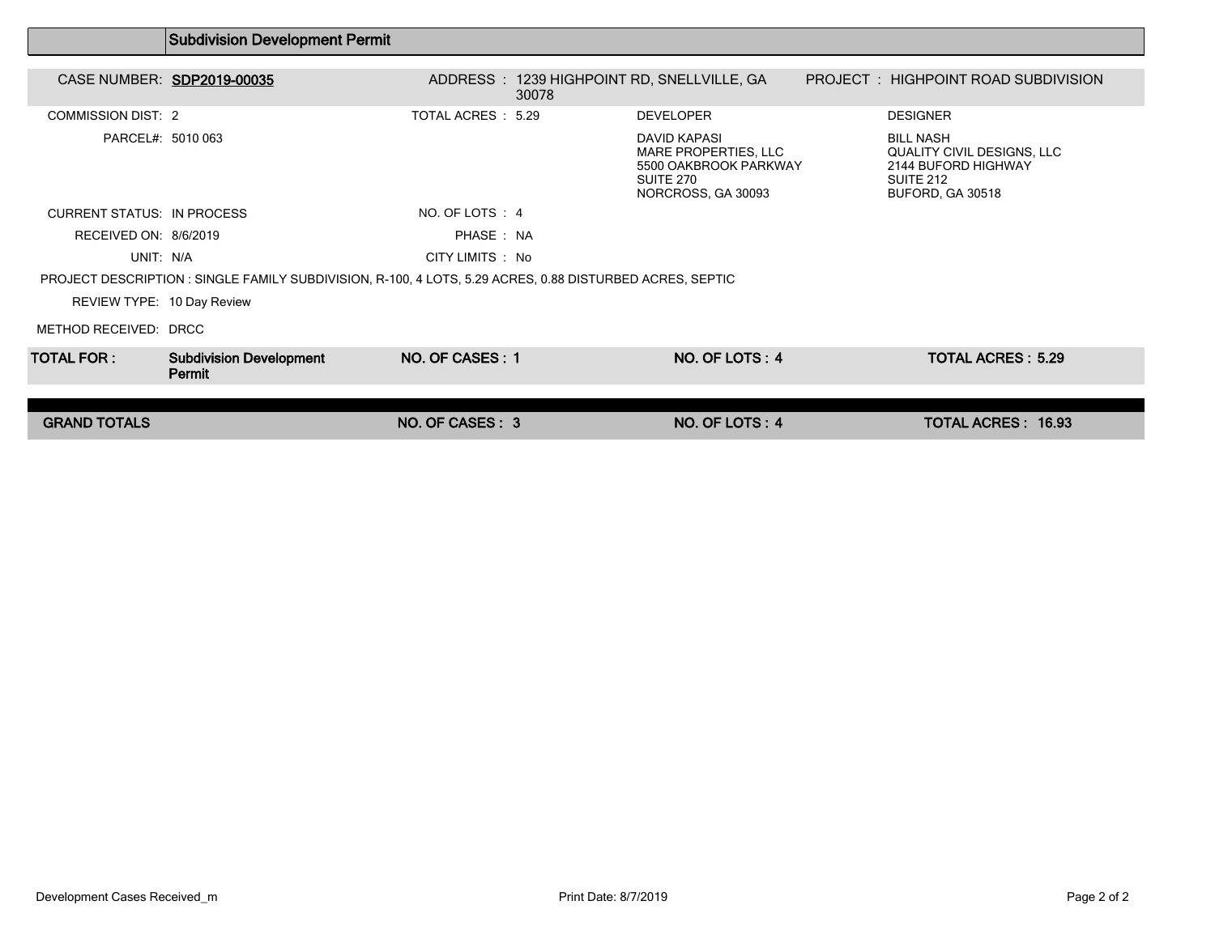|                                   | <b>Subdivision Development Permit</b>                                                                    |                    |       |                                                                                                         |                                                                                                        |  |
|-----------------------------------|----------------------------------------------------------------------------------------------------------|--------------------|-------|---------------------------------------------------------------------------------------------------------|--------------------------------------------------------------------------------------------------------|--|
|                                   | CASE NUMBER: SDP2019-00035                                                                               |                    | 30078 | ADDRESS : 1239 HIGHPOINT RD, SNELLVILLE, GA                                                             | PROJECT: HIGHPOINT ROAD SUBDIVISION                                                                    |  |
| <b>COMMISSION DIST: 2</b>         |                                                                                                          | TOTAL ACRES : 5.29 |       | <b>DEVELOPER</b>                                                                                        | <b>DESIGNER</b>                                                                                        |  |
| PARCEL#: 5010 063                 |                                                                                                          |                    |       | <b>DAVID KAPASI</b><br>MARE PROPERTIES, LLC<br>5500 OAKBROOK PARKWAY<br>SUITE 270<br>NORCROSS, GA 30093 | <b>BILL NASH</b><br>QUALITY CIVIL DESIGNS, LLC<br>2144 BUFORD HIGHWAY<br>SUITE 212<br>BUFORD, GA 30518 |  |
| <b>CURRENT STATUS: IN PROCESS</b> |                                                                                                          | NO. OF LOTS : 4    |       |                                                                                                         |                                                                                                        |  |
| RECEIVED ON: 8/6/2019             |                                                                                                          | PHASE: NA          |       |                                                                                                         |                                                                                                        |  |
| UNIT: N/A                         |                                                                                                          | CITY LIMITS : No   |       |                                                                                                         |                                                                                                        |  |
|                                   | PROJECT DESCRIPTION : SINGLE FAMILY SUBDIVISION, R-100, 4 LOTS, 5.29 ACRES, 0.88 DISTURBED ACRES, SEPTIC |                    |       |                                                                                                         |                                                                                                        |  |
| REVIEW TYPE: 10 Day Review        |                                                                                                          |                    |       |                                                                                                         |                                                                                                        |  |
| METHOD RECEIVED: DRCC             |                                                                                                          |                    |       |                                                                                                         |                                                                                                        |  |
| TOTAL FOR : I                     | <b>Subdivision Development</b><br><b>Permit</b>                                                          | NO. OF CASES: 1    |       | NO. OF LOTS: 4                                                                                          | <b>TOTAL ACRES: 5.29</b>                                                                               |  |
|                                   |                                                                                                          |                    |       |                                                                                                         |                                                                                                        |  |
| <b>GRAND TOTALS</b>               |                                                                                                          | NO. OF CASES: 3    |       | NO. OF LOTS: 4                                                                                          | <b>TOTAL ACRES: 16.93</b>                                                                              |  |